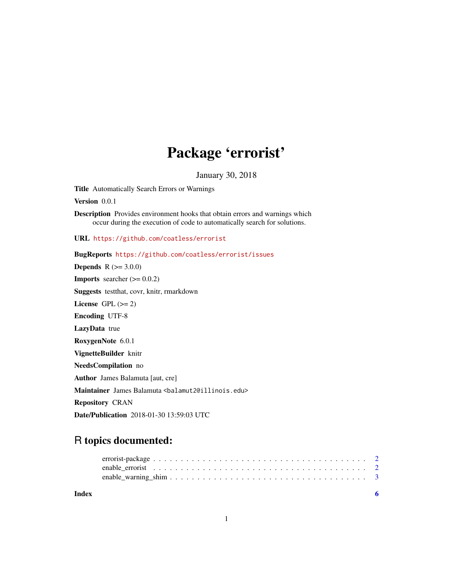## Package 'errorist'

January 30, 2018

<span id="page-0-0"></span>Title Automatically Search Errors or Warnings

Version 0.0.1

Description Provides environment hooks that obtain errors and warnings which occur during the execution of code to automatically search for solutions.

URL <https://github.com/coatless/errorist>

#### BugReports <https://github.com/coatless/errorist/issues>

**Depends**  $R (= 3.0.0)$ **Imports** searcher  $(>= 0.0.2)$ Suggests testthat, covr, knitr, rmarkdown License GPL  $(>= 2)$ Encoding UTF-8 LazyData true RoxygenNote 6.0.1 VignetteBuilder knitr NeedsCompilation no Author James Balamuta [aut, cre] Maintainer James Balamuta <br/>balamut2@illinois.edu> Repository CRAN Date/Publication 2018-01-30 13:59:03 UTC

### R topics documented:

| Index |  |  |  |  |  |  |  |  |  |  |  |  |  |  |  |
|-------|--|--|--|--|--|--|--|--|--|--|--|--|--|--|--|
|       |  |  |  |  |  |  |  |  |  |  |  |  |  |  |  |
|       |  |  |  |  |  |  |  |  |  |  |  |  |  |  |  |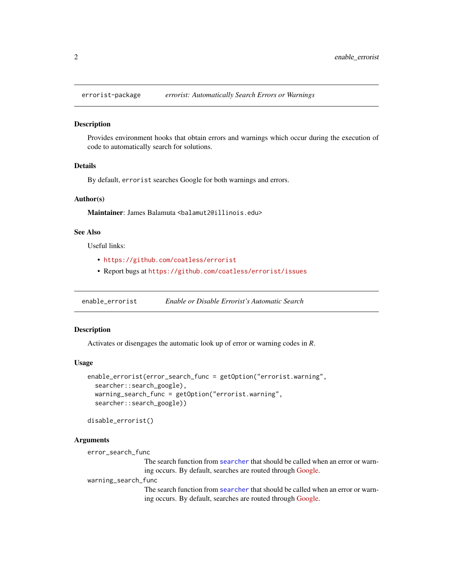<span id="page-1-0"></span>

#### Description

Provides environment hooks that obtain errors and warnings which occur during the execution of code to automatically search for solutions.

#### Details

By default, errorist searches Google for both warnings and errors.

#### Author(s)

Maintainer: James Balamuta <balamut2@illinois.edu>

#### See Also

Useful links:

- <https://github.com/coatless/errorist>
- Report bugs at <https://github.com/coatless/errorist/issues>

enable\_errorist *Enable or Disable Errorist's Automatic Search*

#### Description

Activates or disengages the automatic look up of error or warning codes in *R*.

#### Usage

```
enable_errorist(error_search_func = getOption("errorist.warning",
  searcher::search_google),
 warning_search_func = getOption("errorist.warning",
  searcher::search_google))
```
disable\_errorist()

#### Arguments

```
error_search_func
```
The search function from [searcher](#page-0-0) that should be called when an error or warning occurs. By default, searches are routed through [Google.](https://google.com)

warning\_search\_func

The search function from [searcher](#page-0-0) that should be called when an error or warning occurs. By default, searches are routed through [Google.](https://google.com)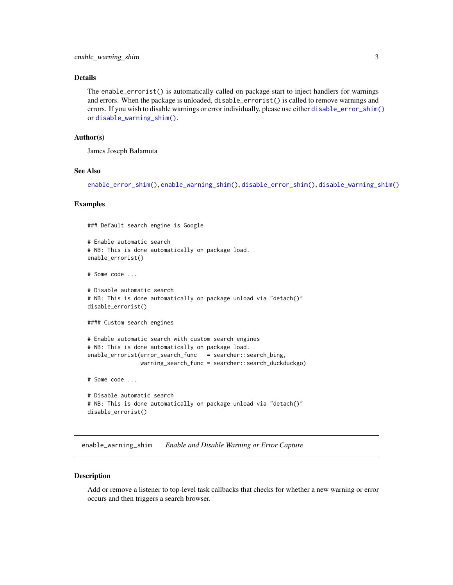#### <span id="page-2-0"></span>Details

The enable\_errorist() is automatically called on package start to inject handlers for warnings and errors. When the package is unloaded, disable\_errorist() is called to remove warnings and errors. If you wish to disable warnings or error individually, please use either [disable\\_error\\_shim\(\)](#page-2-1) or [disable\\_warning\\_shim\(\)](#page-2-1).

#### Author(s)

James Joseph Balamuta

#### See Also

[enable\\_error\\_shim\(\)](#page-2-1), [enable\\_warning\\_shim\(\)](#page-2-2), [disable\\_error\\_shim\(\)](#page-2-1), [disable\\_warning\\_shim\(\)](#page-2-1)

#### Examples

### Default search engine is Google

```
# Enable automatic search
# NB: This is done automatically on package load.
enable_errorist()
```
# Some code ...

```
# Disable automatic search
# NB: This is done automatically on package unload via "detach()"
disable_errorist()
```
#### Custom search engines

```
# Enable automatic search with custom search engines
# NB: This is done automatically on package load.
enable_errorist(error_search_func = searcher::search_bing,
               warning_search_func = searcher::search_duckduckgo)
```
# Some code ...

```
# Disable automatic search
# NB: This is done automatically on package unload via "detach()"
disable_errorist()
```
<span id="page-2-2"></span>enable\_warning\_shim *Enable and Disable Warning or Error Capture*

#### <span id="page-2-1"></span>Description

Add or remove a listener to top-level task callbacks that checks for whether a new warning or error occurs and then triggers a search browser.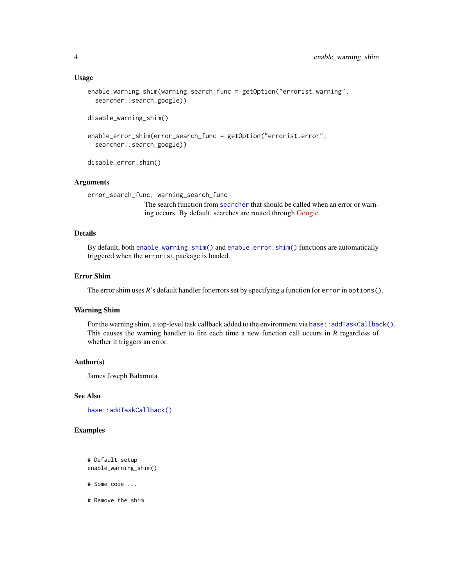```
enable_warning_shim(warning_search_func = getOption("errorist.warning",
  searcher::search_google))
```

```
disable_warning_shim()
```

```
enable_error_shim(error_search_func = getOption("errorist.error",
  searcher::search_google))
```
disable\_error\_shim()

#### Arguments

```
error_search_func, warning_search_func
```
The search function from [searcher](#page-0-0) that should be called when an error or warning occurs. By default, searches are routed through [Google.](https://google.com)

#### Details

By default, both [enable\\_warning\\_shim\(\)](#page-2-2) and [enable\\_error\\_shim\(\)](#page-2-1) functions are automatically triggered when the errorist package is loaded.

#### Error Shim

The error shim uses *R*'s default handler for errors set by specifying a function for error in options().

#### Warning Shim

For the warning shim, a top-level task callback added to the environment via [base::addTaskCallback\(\)](#page-0-0). This causes the warning handler to fire each time a new function call occurs in *R* regardless of whether it triggers an error.

#### Author(s)

James Joseph Balamuta

#### See Also

[base::addTaskCallback\(\)](#page-0-0)

#### Examples

```
# Default setup
enable_warning_shim()
```
- # Some code ...
- # Remove the shim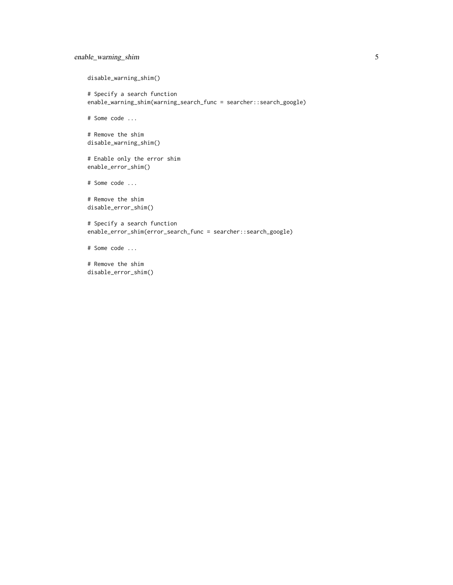#### enable\_warning\_shim 5

disable\_warning\_shim()

# Specify a search function enable\_warning\_shim(warning\_search\_func = searcher::search\_google)

# Some code ...

```
# Remove the shim
disable_warning_shim()
```
# Enable only the error shim enable\_error\_shim()

# Some code ...

# Remove the shim disable\_error\_shim()

```
# Specify a search function
enable_error_shim(error_search_func = searcher::search_google)
```
# Some code ...

# Remove the shim disable\_error\_shim()